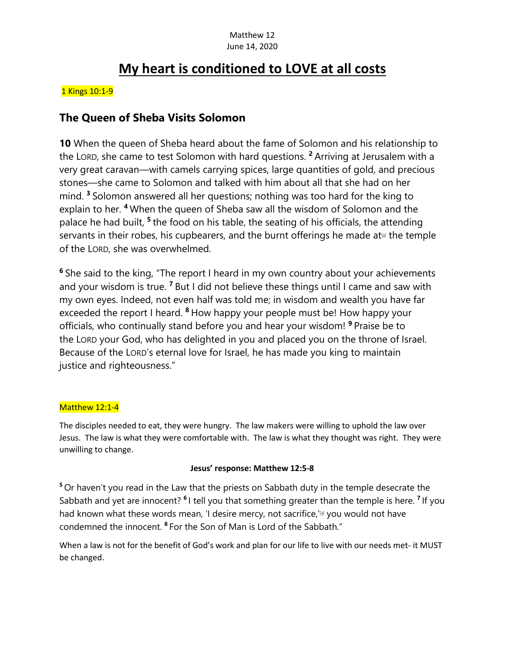# **My heart is conditioned to LOVE at all costs**

#### 1 Kings 10:1-9

### **The Queen of Sheba Visits Solomon**

**10** When the queen of Sheba heard about the fame of Solomon and his relationship to the LORD, she came to test Solomon with hard questions. **<sup>2</sup>** Arriving at Jerusalem with a very great caravan—with camels carrying spices, large quantities of gold, and precious stones—she came to Solomon and talked with him about all that she had on her mind. **<sup>3</sup>** Solomon answered all her questions; nothing was too hard for the king to explain to her. **<sup>4</sup>** When the queen of Sheba saw all the wisdom of Solomon and the palace he had built, **<sup>5</sup>** the food on his table, the seating of his officials, the attending servants in their robes, his cupbearers, and the burnt offerings he made at<sup>[a]</sup> the temple of the LORD, she was overwhelmed.

**<sup>6</sup>** She said to the king, "The report I heard in my own country about your achievements and your wisdom is true. **<sup>7</sup>** But I did not believe these things until I came and saw with my own eyes. Indeed, not even half was told me; in wisdom and wealth you have far exceeded the report I heard. **<sup>8</sup>** How happy your people must be! How happy your officials, who continually stand before you and hear your wisdom! **<sup>9</sup>** Praise be to the LORD your God, who has delighted in you and placed you on the throne of Israel. Because of the LORD's eternal love for Israel, he has made you king to maintain justice and righteousness."

#### Matthew 12:1-4

The disciples needed to eat, they were hungry. The law makers were willing to uphold the law over Jesus. The law is what they were comfortable with. The law is what they thought was right. They were unwilling to change.

#### **Jesus' response: Matthew 12:5-8**

**<sup>5</sup>** Or haven't you read in the Law that the priests on Sabbath duty in the temple desecrate the Sabbath and yet are innocent? **<sup>6</sup>** I tell you that something greater than the temple is here. **<sup>7</sup>** If you had known what these words mean, 'I desire mercy, not sacrifice,'<sup>[a]</sup> you would not have condemned the innocent. **<sup>8</sup>** For the Son of Man is Lord of the Sabbath."

When a law is not for the benefit of God's work and plan for our life to live with our needs met- it MUST be changed.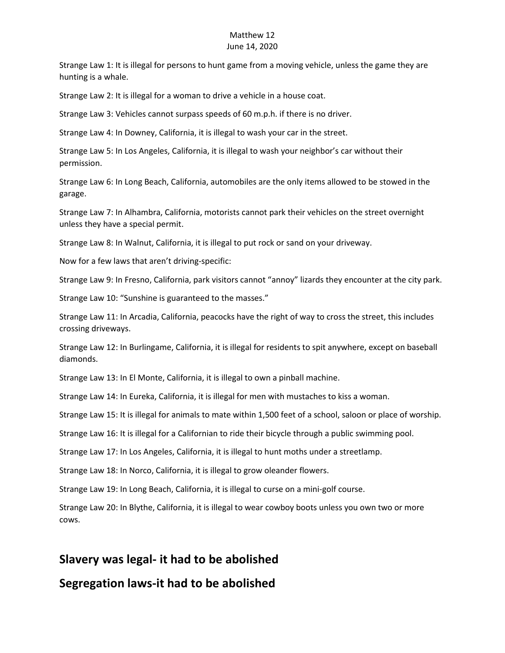### Matthew 12

#### June 14, 2020

Strange Law 1: It is illegal for persons to hunt game from a moving vehicle, unless the game they are hunting is a whale.

Strange Law 2: It is illegal for a woman to drive a vehicle in a house coat.

Strange Law 3: Vehicles cannot surpass speeds of 60 m.p.h. if there is no driver.

Strange Law 4: In Downey, California, it is illegal to wash your car in the street.

Strange Law 5: In Los Angeles, California, it is illegal to wash your neighbor's car without their permission.

Strange Law 6: In Long Beach, California, automobiles are the only items allowed to be stowed in the garage.

Strange Law 7: In Alhambra, California, motorists cannot park their vehicles on the street overnight unless they have a special permit.

Strange Law 8: In Walnut, California, it is illegal to put rock or sand on your driveway.

Now for a few laws that aren't driving-specific:

Strange Law 9: In Fresno, California, park visitors cannot "annoy" lizards they encounter at the city park.

Strange Law 10: "Sunshine is guaranteed to the masses."

Strange Law 11: In Arcadia, California, peacocks have the right of way to cross the street, this includes crossing driveways.

Strange Law 12: In Burlingame, California, it is illegal for residents to spit anywhere, except on baseball diamonds.

Strange Law 13: In El Monte, California, it is illegal to own a pinball machine.

Strange Law 14: In Eureka, California, it is illegal for men with mustaches to kiss a woman.

Strange Law 15: It is illegal for animals to mate within 1,500 feet of a school, saloon or place of worship.

Strange Law 16: It is illegal for a Californian to ride their bicycle through a public swimming pool.

Strange Law 17: In Los Angeles, California, it is illegal to hunt moths under a streetlamp.

Strange Law 18: In Norco, California, it is illegal to grow oleander flowers.

Strange Law 19: In Long Beach, California, it is illegal to curse on a mini-golf course.

Strange Law 20: In Blythe, California, it is illegal to wear cowboy boots unless you own two or more cows.

# **Slavery was legal- it had to be abolished**

### **Segregation laws-it had to be abolished**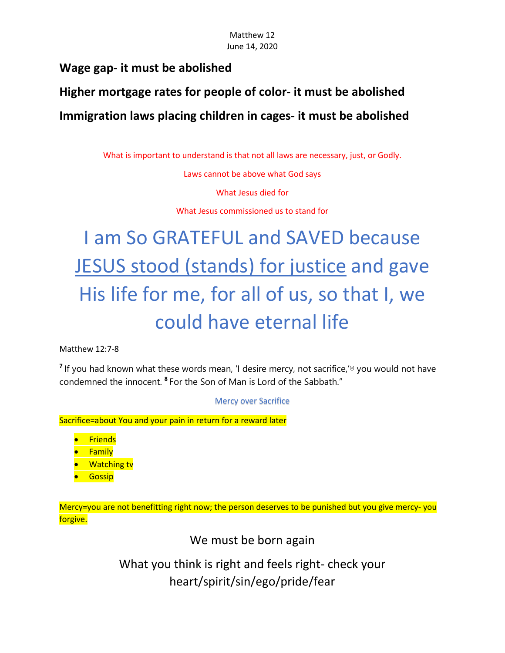# **Wage gap- it must be abolished**

**Higher mortgage rates for people of color- it must be abolished Immigration laws placing children in cages- it must be abolished** 

What is important to understand is that not all laws are necessary, just, or Godly.

Laws cannot be above what God says

What Jesus died for

What Jesus commissioned us to stand for

# I am So GRATEFUL and SAVED because JESUS stood (stands) for justice and gave His life for me, for all of us, so that I, we could have eternal life

Matthew 12:7-8

<sup>7</sup> If you had known what these words mean, 'I desire mercy, not sacrifice,<sup>['\[a\]](https://www.biblegateway.com/passage/?search=Matthew+12%3A7-8&version=NIV#fen-NIV-23497a)</sup> you would not have condemned the innocent. **<sup>8</sup>** For the Son of Man is Lord of the Sabbath."

Mercy over Sacrifice

Sacrifice=about You and your pain in return for a reward later

• Friends

- Family
- **Watching tv**
- Gossip

Mercy=you are not benefitting right now; the person deserves to be punished but you give mercy- you forgive.

We must be born again

What you think is right and feels right- check your heart/spirit/sin/ego/pride/fear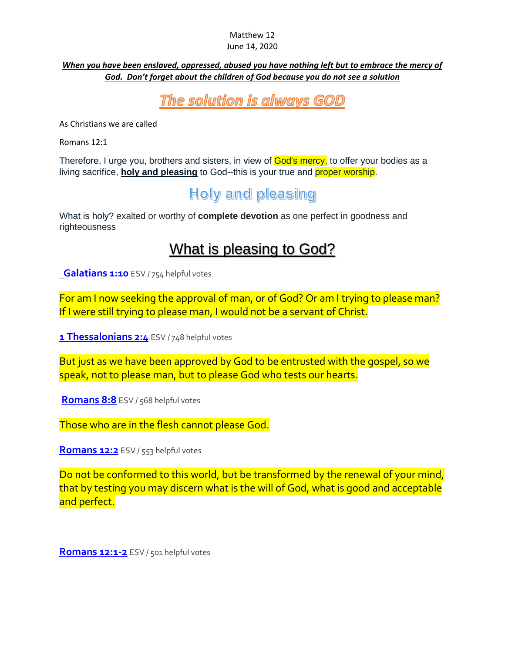# Matthew 12

#### June 14, 2020

#### *When you have been enslaved, oppressed, abused you have nothing left but to embrace the mercy of God. Don't forget about the children of God because you do not see a solution*

# The solution is always GOD

As Christians we are called

Romans 12:1

Therefore, I urge you, brothers and sisters, in view of God's mercy, to offer your bodies as a living sacrifice, **holy and pleasing** to God--this is your true and proper worship.

# **Holy and pleasing**

What is holy? exalted or worthy of **complete devotion** as one perfect in goodness and righteousness

# What is pleasing to God?

**[Galatians 1:10](https://www.biblegateway.com/passage/?search=Galatians+1%3A10&version=ESV)** ESV / 754 helpful votes

For am I now seeking the approval of man, or of God? Or am I trying to please man? If I were still trying to please man, I would not be a servant of Christ.

**[1 Thessalonians 2:4](https://www.biblegateway.com/passage/?search=1+Thessalonians+2%3A4&version=ESV) ESV / 748 helpful votes** 

But just as we have been approved by God to be entrusted with the gospel, so we speak, not to please man, but to please God who tests our hearts.

[Romans 8:8](https://www.biblegateway.com/passage/?search=Romans+8%3A8&version=ESV) ESV / 568 helpful votes

Those who are in the flesh cannot please God.

**[Romans 12:2](https://www.biblegateway.com/passage/?search=Romans+12%3A2&version=ESV)** ESV / 553 helpful votes

Do not be conformed to this world, but be transformed by the renewal of your mind, that by testing you may discern what is the will of God, what is good and acceptable and perfect.

**[Romans 12:1-2](https://www.biblegateway.com/passage/?search=Romans+12%3A1-2&version=ESV)** ESV / 501 helpful votes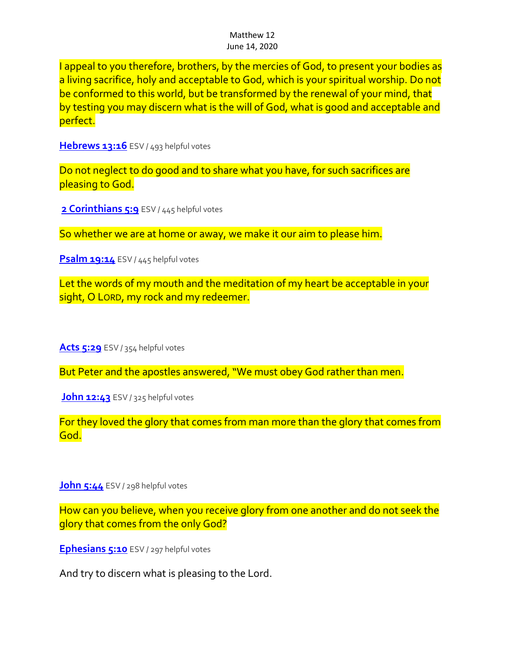I appeal to you therefore, brothers, by the mercies of God, to present your bodies as a living sacrifice, holy and acceptable to God, which is your spiritual worship. Do not be conformed to this world, but be transformed by the renewal of your mind, that by testing you may discern what is the will of God, what is good and acceptable and perfect.

**[Hebrews 13:16](https://www.biblegateway.com/passage/?search=Hebrews+13%3A16&version=ESV)** ESV / 493 helpful votes

Do not neglect to do good and to share what you have, for such sacrifices are pleasing to God.

2 **Corinthians 5:9** ESV / 445 helpful votes

So whether we are at home or away, we make it our aim to please him.

**[Psalm 19:14](https://www.biblegateway.com/passage/?search=Psalm+19%3A14&version=ESV)** ESV / 445 helpful votes

Let the words of my mouth and the meditation of my heart be acceptable in your sight, O LORD, my rock and my redeemer.

**[Acts 5:29](https://www.biblegateway.com/passage/?search=Acts+5%3A29&version=ESV)** ESV / 354 helpful votes

But Peter and the apostles answered, "We must obey God rather than men.

**[John 12:43](https://www.biblegateway.com/passage/?search=John+12%3A43&version=ESV)** ESV / 325 helpful votes

For they loved the glory that comes from man more than the glory that comes from God.

**[John 5:44](https://www.biblegateway.com/passage/?search=John+5%3A44&version=ESV)** ESV / 298 helpful votes

How can you believe, when you receive glory from one another and do not seek the glory that comes from the only God?

**[Ephesians 5:10](https://www.biblegateway.com/passage/?search=Ephesians+5%3A10&version=ESV)** ESV / 297 helpful votes

And try to discern what is pleasing to the Lord.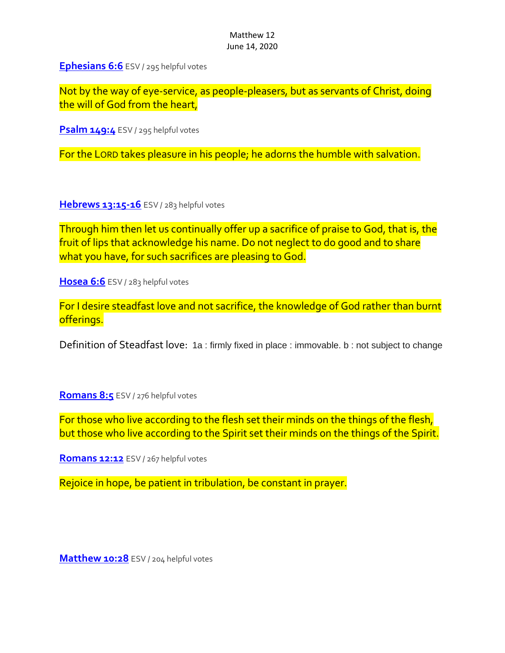**[Ephesians 6:6](https://www.biblegateway.com/passage/?search=Ephesians+6%3A6&version=ESV)** ESV / 295 helpful votes

Not by the way of eye-service, as people-pleasers, but as servants of Christ, doing the will of God from the heart,

**[Psalm 149:4](https://www.biblegateway.com/passage/?search=Psalm+149%3A4&version=ESV)** ESV / 295 helpful votes

For the LORD takes pleasure in his people; he adorns the humble with salvation.

**[Hebrews 13:15-16](https://www.biblegateway.com/passage/?search=Hebrews+13%3A15-16&version=ESV)** ESV / 283 helpful votes

Through him then let us continually offer up a sacrifice of praise to God, that is, the fruit of lips that acknowledge his name. Do not neglect to do good and to share what you have, for such sacrifices are pleasing to God.

**[Hosea 6:6](https://www.biblegateway.com/passage/?search=Hosea+6%3A6&version=ESV)** ESV / 283 helpful votes

For I desire steadfast love and not sacrifice, the knowledge of God rather than burnt offerings.

Definition of Steadfast love: 1a : firmly fixed in place : immovable. b : not subject to change

**[Romans](https://www.biblegateway.com/passage/?search=Romans+8%3A5&version=ESV) 8:5** ESV / 276 helpful votes

For those who live according to the flesh set their minds on the things of the flesh, but those who live according to the Spirit set their minds on the things of the Spirit.

**[Romans 12:12](https://www.biblegateway.com/passage/?search=Romans+12%3A12&version=ESV)** ESV / 267 helpful votes

Rejoice in hope, be patient in tribulation, be constant in prayer.

**[Matthew 10:28](https://www.biblegateway.com/passage/?search=Matthew+10%3A28&version=ESV)** ESV / 204 helpful votes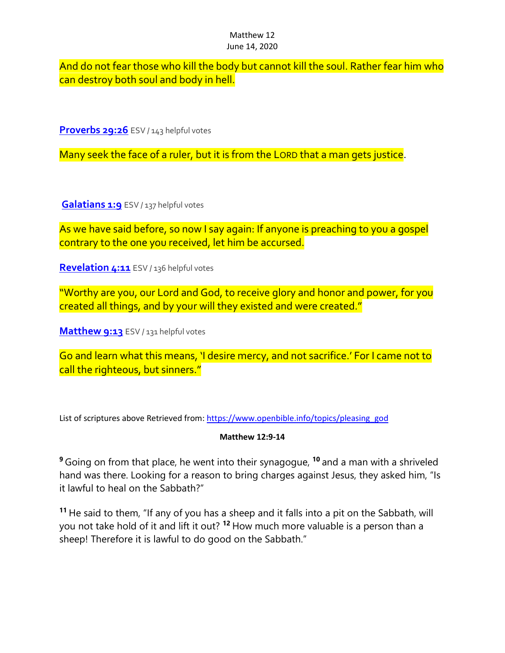And do not fear those who kill the body but cannot kill the soul. Rather fear him who can destroy both soul and body in hell.

**[Proverbs 29:26](https://www.biblegateway.com/passage/?search=Proverbs+29%3A26&version=ESV)** ESV / 143 helpful votes

Many seek the face of a ruler, but it is from the LORD that a man gets justice.

[Galatians 1:9](https://www.biblegateway.com/passage/?search=Galatians+1%3A9&version=ESV) ESV / 137 helpful votes

As we have said before, so now I say again: If anyone is preaching to you a gospel contrary to the one you received, let him be accursed.

**[Revelation 4:11](https://www.biblegateway.com/passage/?search=Revelation+4%3A11&version=ESV)** ESV / 136 helpful votes

"Worthy are you, our Lord and God, to receive glory and honor and power, for you created all things, and by your will they existed and were created."

**[Matthew 9:13](https://www.biblegateway.com/passage/?search=Matthew+9%3A13&version=ESV)** ESV / 131 helpful votes

Go and learn what this means, 'I desire mercy, and not sacrifice.' For I came not to call the righteous, but sinners."

List of scriptures above Retrieved from: [https://www.openbible.info/topics/pleasing\\_god](https://www.openbible.info/topics/pleasing_god)

#### **Matthew 12:9-14**

**<sup>9</sup>** Going on from that place, he went into their synagogue, **<sup>10</sup>** and a man with a shriveled hand was there. Looking for a reason to bring charges against Jesus, they asked him, "Is it lawful to heal on the Sabbath?"

**<sup>11</sup>** He said to them, "If any of you has a sheep and it falls into a pit on the Sabbath, will you not take hold of it and lift it out? **<sup>12</sup>** How much more valuable is a person than a sheep! Therefore it is lawful to do good on the Sabbath."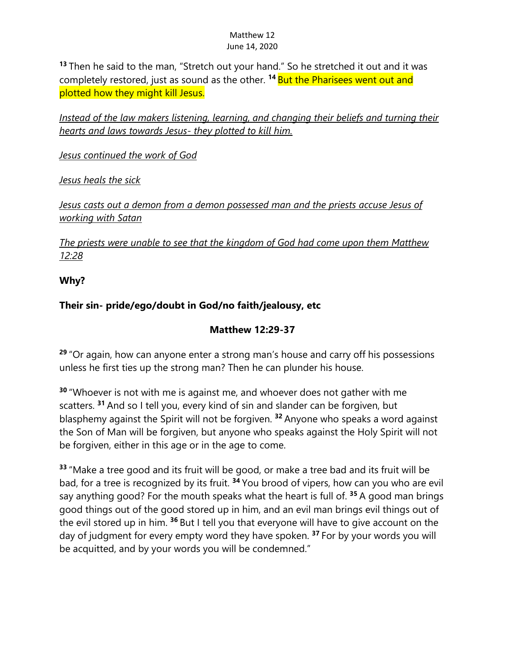**<sup>13</sup>** Then he said to the man, "Stretch out your hand." So he stretched it out and it was completely restored, just as sound as the other. **<sup>14</sup>** But the Pharisees went out and plotted how they might kill Jesus.

*Instead of the law makers listening, learning, and changing their beliefs and turning their hearts and laws towards Jesus- they plotted to kill him.*

*Jesus continued the work of God* 

*Jesus heals the sick*

*Jesus casts out a demon from a demon possessed man and the priests accuse Jesus of working with Satan* 

*The priests were unable to see that the kingdom of God had come upon them Matthew 12:28*

**Why?**

### **Their sin- pride/ego/doubt in God/no faith/jealousy, etc**

#### **Matthew 12:29-37**

**<sup>29</sup>** "Or again, how can anyone enter a strong man's house and carry off his possessions unless he first ties up the strong man? Then he can plunder his house.

**<sup>30</sup>** "Whoever is not with me is against me, and whoever does not gather with me scatters. **<sup>31</sup>** And so I tell you, every kind of sin and slander can be forgiven, but blasphemy against the Spirit will not be forgiven. **<sup>32</sup>** Anyone who speaks a word against the Son of Man will be forgiven, but anyone who speaks against the Holy Spirit will not be forgiven, either in this age or in the age to come.

**<sup>33</sup>** "Make a tree good and its fruit will be good, or make a tree bad and its fruit will be bad, for a tree is recognized by its fruit. **<sup>34</sup>** You brood of vipers, how can you who are evil say anything good? For the mouth speaks what the heart is full of. **<sup>35</sup>** A good man brings good things out of the good stored up in him, and an evil man brings evil things out of the evil stored up in him. **<sup>36</sup>** But I tell you that everyone will have to give account on the day of judgment for every empty word they have spoken. **<sup>37</sup>** For by your words you will be acquitted, and by your words you will be condemned."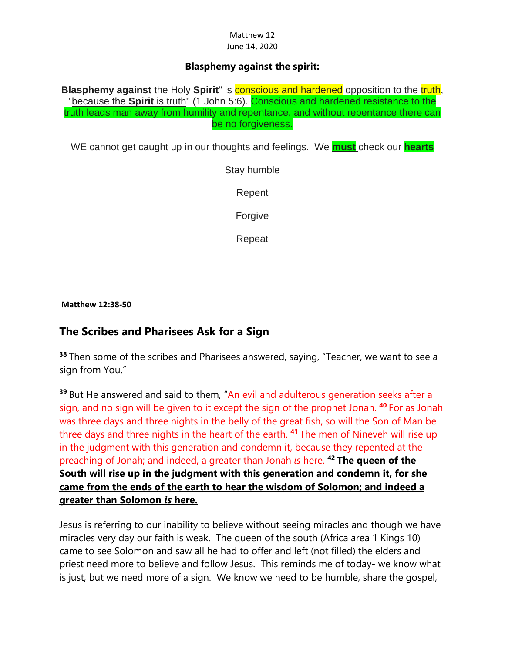#### **Blasphemy against the spirit:**

**Blasphemy against** the Holy **Spirit**" is **conscious and hardened** opposition to the truth, "because the **Spirit** is truth" (1 John 5:6). Conscious and hardened resistance to the truth leads man away from humility and repentance, and without repentance there can be no forgiveness.

WE cannot get caught up in our thoughts and feelings. We **must** check our **hearts**

Stay humble

Repent

Forgive

Repeat

**Matthew 12:38-50**

## **The Scribes and Pharisees Ask for a Sign**

**<sup>38</sup>** Then some of the scribes and Pharisees answered, saying, "Teacher, we want to see a sign from You."

**<sup>39</sup>** But He answered and said to them, "An evil and adulterous generation seeks after a sign, and no sign will be given to it except the sign of the prophet Jonah. **<sup>40</sup>** For as Jonah was three days and three nights in the belly of the great fish, so will the Son of Man be three days and three nights in the heart of the earth. **<sup>41</sup>** The men of Nineveh will rise up in the judgment with this generation and condemn it, because they repented at the preaching of Jonah; and indeed, a greater than Jonah *is* here. **<sup>42</sup> The queen of the South will rise up in the judgment with this generation and condemn it, for she came from the ends of the earth to hear the wisdom of Solomon; and indeed a greater than Solomon** *is* **here.**

Jesus is referring to our inability to believe without seeing miracles and though we have miracles very day our faith is weak. The queen of the south (Africa area 1 Kings 10) came to see Solomon and saw all he had to offer and left (not filled) the elders and priest need more to believe and follow Jesus. This reminds me of today- we know what is just, but we need more of a sign. We know we need to be humble, share the gospel,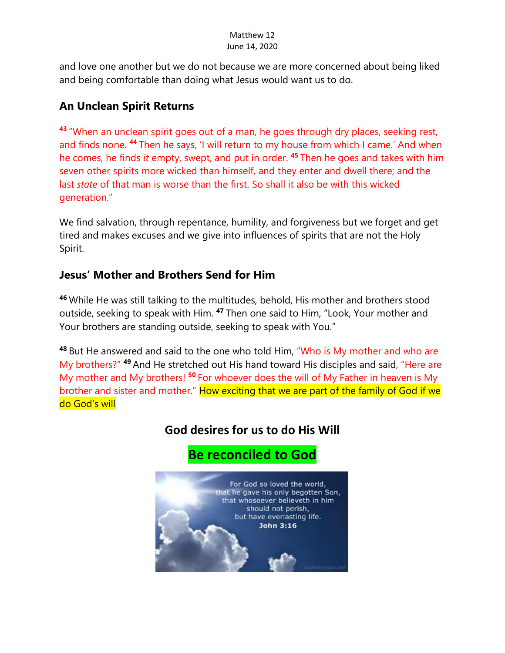and love one another but we do not because we are more concerned about being liked and being comfortable than doing what Jesus would want us to do.

# **An Unclean Spirit Returns**

**<sup>43</sup>** "When an unclean spirit goes out of a man, he goes through dry places, seeking rest, and finds none. **<sup>44</sup>** Then he says, 'I will return to my house from which I came.' And when he comes, he finds *it* empty, swept, and put in order. **<sup>45</sup>** Then he goes and takes with him seven other spirits more wicked than himself, and they enter and dwell there; and the last *state* of that man is worse than the first. So shall it also be with this wicked generation."

We find salvation, through repentance, humility, and forgiveness but we forget and get tired and makes excuses and we give into influences of spirits that are not the Holy Spirit.

# **Jesus' Mother and Brothers Send for Him**

**<sup>46</sup>** While He was still talking to the multitudes, behold, His mother and brothers stood outside, seeking to speak with Him. **<sup>47</sup>** Then one said to Him, "Look, Your mother and Your brothers are standing outside, seeking to speak with You."

**<sup>48</sup>** But He answered and said to the one who told Him, "Who is My mother and who are My brothers?" **<sup>49</sup>** And He stretched out His hand toward His disciples and said, "Here are My mother and My brothers! **<sup>50</sup>** For whoever does the will of My Father in heaven is My brother and sister and mother." How exciting that we are part of the family of God if we do God's will

# **God desires for us to do His Will**

# **Be reconciled to God**